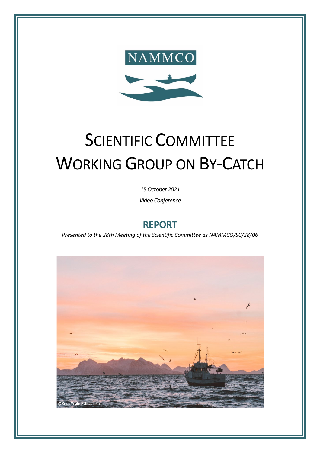

# SCIENTIFIC COMMITTEE WORKING GROUP ON BY-CATCH

*15October 2021*

*Video Conference*

## **REPORT**

*Presented to the 28th Meeting of the Scientific Committee as NAMMCO/SC/28/06*

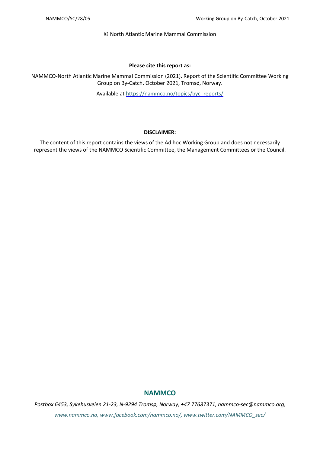© North Atlantic Marine Mammal Commission

#### **Please cite this report as:**

NAMMCO-North Atlantic Marine Mammal Commission (2021). Report of the Scientific Committee Working Group on By-Catch. October 2021, Tromsø, Norway.

Available at [https://nammco.no/topics/byc\\_reports/](https://nammco.no/topics/byc_reports/)

#### **DISCLAIMER:**

The content of this report contains the views of the Ad hoc Working Group and does not necessarily represent the views of the NAMMCO Scientific Committee, the Management Committees or the Council.

## **NAMMCO**

*Postbox 6453, Sykehusveien 21-23, N-9294 Tromsø, Norway, +47 77687371, nammco-sec@nammco.org, www.nammco.no, [www.facebook.com/nammco.no/,](http://www.facebook.com/nammco.no/) [www.twitter.com/NAMMCO\\_sec/](https://twitter.com/NAMMCO_sec)*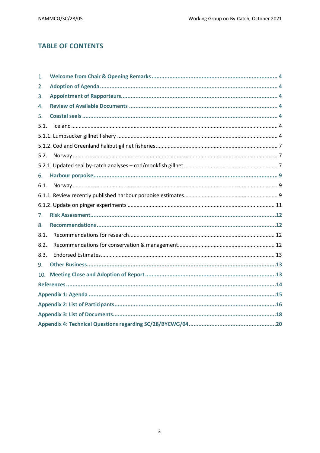## **TABLE OF CONTENTS**

| 1.   |  |  |  |  |  |  |  |
|------|--|--|--|--|--|--|--|
| 2.   |  |  |  |  |  |  |  |
| 3.   |  |  |  |  |  |  |  |
| 4.   |  |  |  |  |  |  |  |
| 5.   |  |  |  |  |  |  |  |
| 5.1. |  |  |  |  |  |  |  |
|      |  |  |  |  |  |  |  |
|      |  |  |  |  |  |  |  |
| 5.2. |  |  |  |  |  |  |  |
|      |  |  |  |  |  |  |  |
| 6.   |  |  |  |  |  |  |  |
| 6.1. |  |  |  |  |  |  |  |
|      |  |  |  |  |  |  |  |
|      |  |  |  |  |  |  |  |
| 7.   |  |  |  |  |  |  |  |
| 8.   |  |  |  |  |  |  |  |
| 8.1. |  |  |  |  |  |  |  |
| 8.2. |  |  |  |  |  |  |  |
| 8.3. |  |  |  |  |  |  |  |
| 9.   |  |  |  |  |  |  |  |
| 10.  |  |  |  |  |  |  |  |
|      |  |  |  |  |  |  |  |
|      |  |  |  |  |  |  |  |
|      |  |  |  |  |  |  |  |
|      |  |  |  |  |  |  |  |
|      |  |  |  |  |  |  |  |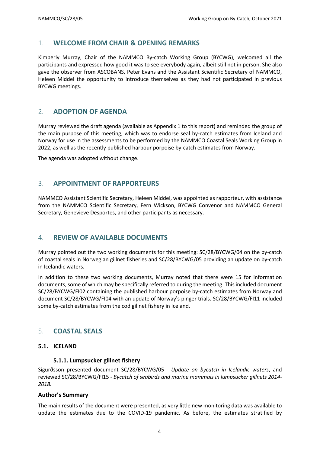## <span id="page-3-0"></span>1. **WELCOME FROM CHAIR & OPENING REMARKS**

Kimberly Murray, Chair of the NAMMCO By-catch Working Group (BYCWG), welcomed all the participants and expressed how good it was to see everybody again, albeit still not in person. She also gave the observer from ASCOBANS, Peter Evans and the Assistant Scientific Secretary of NAMMCO, Heleen Middel the opportunity to introduce themselves as they had not participated in previous BYCWG meetings.

## <span id="page-3-1"></span>2. **ADOPTION OF AGENDA**

Murray reviewed the draft agenda (available as Appendix 1 to this report) and reminded the group of the main purpose of this meeting, which was to endorse seal by-catch estimates from Iceland and Norway for use in the assessments to be performed by the NAMMCO Coastal Seals Working Group in 2022, as well as the recently published harbour porpoise by-catch estimates from Norway.

The agenda was adopted without change.

## <span id="page-3-2"></span>3. **APPOINTMENT OF RAPPORTEURS**

NAMMCO Assistant Scientific Secretary, Heleen Middel, was appointed as rapporteur, with assistance from the NAMMCO Scientific Secretary, Fern Wickson, BYCWG Convenor and NAMMCO General Secretary, Genevieve Desportes, and other participants as necessary.

## <span id="page-3-3"></span>4. **REVIEW OF AVAILABLE DOCUMENTS**

Murray pointed out the two working documents for this meeting: SC/28/BYCWG/04 on the by-catch of coastal seals in Norwegian gillnet fisheries and SC/28/BYCWG/05 providing an update on by-catch in Icelandic waters.

In addition to these two working documents, Murray noted that there were 15 for information documents, some of which may be specifically referred to during the meeting. This included document SC/28/BYCWG/FI02 containing the published harbour porpoise by-catch estimates from Norway and document SC/28/BYCWG/FI04 with an update of Norway's pinger trials. SC/28/BYCWG/FI11 included some by-catch estimates from the cod gillnet fishery in Iceland.

## <span id="page-3-4"></span>5. **COASTAL SEALS**

#### <span id="page-3-5"></span>**5.1. ICELAND**

#### <span id="page-3-6"></span>**5.1.1. Lumpsucker gillnet fishery**

Sigurðsson presented document SC/28/BYCWG/05 - *Update on bycatch in Icelandic waters*, and reviewed SC/28/BYCWG/FI15 - *Bycatch of seabirds and marine mammals in lumpsucker gillnets 2014- 2018.*

#### **Author's Summary**

The main results of the document were presented, as very little new monitoring data was available to update the estimates due to the COVID-19 pandemic. As before, the estimates stratified by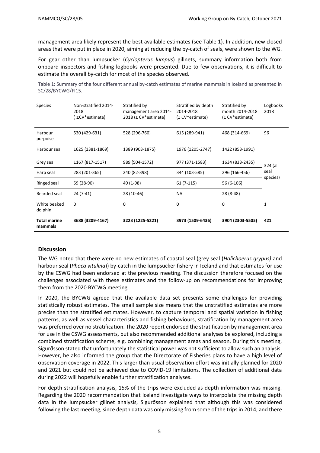management area likely represent the best available estimates (see [Table](#page-4-0) 1). In addition, new closed areas that were put in place in 2020, aiming at reducing the by-catch of seals, were shown to the WG.

For gear other than lumpsucker (*Cyclopterus lumpus*) gillnets, summary information both from onboard inspectors and fishing logbooks were presented. Due to few observations, it is difficult to estimate the overall by-catch for most of the species observed.

<span id="page-4-0"></span>Table 1: Summary of the four different annual by-catch estimates of marine mammals in Iceland as presented in SC/28/BYCWG/FI15.

| <b>Species</b>                 | Non-stratified 2014-<br>2018<br>±CV*estimate) | Stratified by<br>management area 2014-<br>2018 (± CV*estimate) | Stratified by depth<br>2014-2018<br>(± CV*estimate) | Stratified by<br>month 2014-2018<br>(± CV*estimate) | Logbooks<br>2018 |
|--------------------------------|-----------------------------------------------|----------------------------------------------------------------|-----------------------------------------------------|-----------------------------------------------------|------------------|
| Harbour<br>porpoise            | 530 (429-631)                                 | 528 (296-760)                                                  | 615 (289-941)                                       | 468 (314-669)                                       | 96               |
| Harbour seal                   | 1625 (1381-1869)                              | 1389 (903-1875)                                                | 1976 (1205-2747)                                    | 1422 (853-1991)                                     |                  |
| Grey seal                      | 1167 (817-1517)                               | 989 (504-1572)                                                 | 977 (371-1583)                                      | 1634 (833-2435)                                     | 324 (all         |
| Harp seal                      | 283 (201-365)                                 | 240 (82-398)                                                   | 344 (103-585)                                       | 296 (166-456)                                       | seal<br>species) |
| Ringed seal                    | 59 (28-90)                                    | 49 (1-98)                                                      | 61 (7-115)                                          | 56 (6-106)                                          |                  |
| Bearded seal                   | 24 (7-41)                                     | 28 (10-46)                                                     | NА                                                  | 28 (8-48)                                           |                  |
| White beaked<br>dolphin        | 0                                             | 0                                                              | 0                                                   | 0                                                   | 1                |
| <b>Total marine</b><br>mammals | 3688 (3209-4167)                              | 3223 (1225-5221)                                               | 3973 (1509-6436)                                    | 3904 (2303-5505)                                    | 421              |

#### **Discussion**

The WG noted that there were no new estimates of coastal seal (grey seal (*Halichoerus grypus)* and harbour seal (*Phoca vitulina*)) by-catch in the lumpsucker fishery in Iceland and that estimates for use by the CSWG had been endorsed at the previous meeting. The discussion therefore focused on the challenges associated with these estimates and the follow-up on recommendations for improving them from the 2020 BYCWG meeting.

In 2020, the BYCWG agreed that the available data set presents some challenges for providing statistically robust estimates. The small sample size means that the unstratified estimates are more precise than the stratified estimates. However, to capture temporal and spatial variation in fishing patterns, as well as vessel characteristics and fishing behaviours, stratification by management area was preferred over no stratification. The 2020 report endorsed the stratification by management area for use in the CSWG assessments, but also recommended additional analyses be explored, including a combined stratification scheme, e.g. combining management areas and season. During this meeting, Sigurðsson stated that unfortunately the statistical power was not sufficient to allow such an analysis. However, he also informed the group that the Directorate of Fisheries plans to have a high level of observation coverage in 2022. This larger than usual observation effort was initially planned for 2020 and 2021 but could not be achieved due to COVID-19 limitations. The collection of additional data during 2022 will hopefully enable further stratification analyses.

For depth stratification analysis, 15% of the trips were excluded as depth information was missing. Regarding the 2020 recommendation that Iceland investigate ways to interpolate the missing depth data in the lumpsucker gillnet analysis, Sigurðsson explained that although this was considered following the last meeting, since depth data was only missing from some of the trips in 2014, and there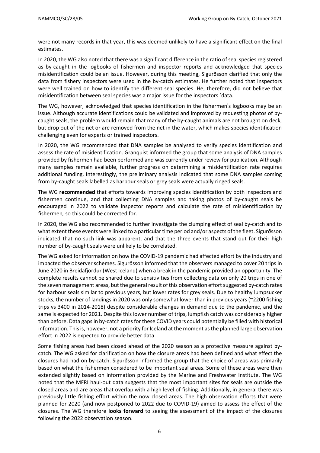were not many records in that year, this was deemed unlikely to have a significant effect on the final estimates.

In 2020, the WG also noted that there was a significant difference in the ratio of seal species registered as by-caught in the logbooks of fishermen and inspector reports and acknowledged that species misidentification could be an issue. However, during this meeting, Sigurðsson clarified that only the data from fishery inspectors were used in the by-catch estimates. He further noted that inspectors were well trained on how to identify the different seal species. He, therefore, did not believe that misidentification between seal species was a major issue for the inspectors 'data.

The WG, however, acknowledged that species identification in the fishermen's logbooks may be an issue. Although accurate identifications could be validated and improved by requesting photos of bycaught seals, the problem would remain that many of the by-caught animals are not brought on deck, but drop out of the net or are removed from the net in the water, which makes species identification challenging even for experts or trained inspectors.

In 2020, the WG recommended that DNA samples be analysed to verify species identification and assess the rate of misidentification. Granquist informed the group that some analysis of DNA samples provided by fishermen had been performed and was currently under review for publication. Although many samples remain available, further progress on determining a misidentification rate requires additional funding. Interestingly, the preliminary analysis indicated that some DNA samples coming from by-caught seals labelled as harbour seals or grey seals were actually ringed seals.

The WG **recommended** that efforts towards improving species identification by both inspectors and fishermen continue, and that collecting DNA samples and taking photos of by-caught seals be encouraged in 2022 to validate inspector reports and calculate the rate of misidentification by fishermen*,* so this could be corrected for.

In 2020, the WG also recommended to further investigate the clumping effect of seal by-catch and to what extent these events were linked to a particular time period and/or aspects of the fleet. Sigurðsson indicated that no such link was apparent, and that the three events that stand out for their high number of by-caught seals were unlikely to be correlated.

The WG asked for information on how the COVID-19 pandemic had affected effort by the industry and impacted the observer schemes. Sigurðsson informed that the observers managed to cover 20 trips in June 2020 in Breidafjordur (West Iceland) when a break in the pandemic provided an opportunity. The complete results cannot be shared due to sensitivities from collecting data on only 20 trips in one of the seven management areas, but the general result of this observation effort suggested by-catch rates for harbour seals similar to previous years, but lower rates for grey seals. Due to healthy lumpsucker stocks, the number of landings in 2020 was only somewhat lower than in previous years (~2200 fishing trips vs 3400 in 2014-2018) despite considerable changes in demand due to the pandemic, and the same is expected for 2021. Despite this lower number of trips, lumpfish catch was considerably higher than before. Data gapsin by-catch ratesfor these COVID years could potentially be filled with historical information. This is, however, not a priority for Iceland at the moment as the planned large observation effort in 2022 is expected to provide better data.

Some fishing areas had been closed ahead of the 2020 season as a protective measure against bycatch. The WG asked for clarification on how the closure areas had been defined and what effect the closures had had on by-catch. Sigurðsson informed the group that the choice of areas was primarily based on what the fishermen considered to be important seal areas. Some of these areas were then extended slightly based on information provided by the Marine and Freshwater Institute. The WG noted that the MFRI haul-out data suggests that the most important sites for seals are outside the closed areas and are areas that overlap with a high level of fishing. Additionally, in general there was previously little fishing effort within the now closed areas. The high observation efforts that were planned for 2020 (and now postponed to 2022 due to COVID-19) aimed to assess the effect of the closures. The WG therefore **looks forward** to seeing the assessment of the impact of the closures following the 2022 observation season.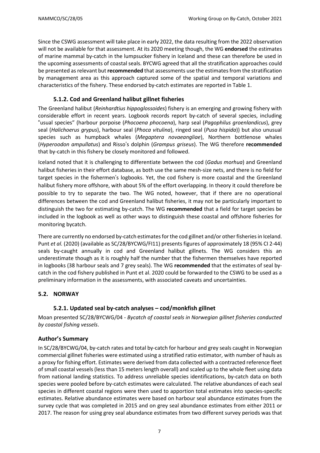Since the CSWG assessment will take place in early 2022, the data resulting from the 2022 observation will not be available for that assessment. At its 2020 meeting though, the WG **endorsed** the estimates of marine mammal by-catch in the lumpsucker fishery in Iceland and these can therefore be used in the upcoming assessments of coastal seals. BYCWG agreed that all the stratification approaches could be presented asrelevant but **recommended** that assessments use the estimatesfrom the stratification by management area as this approach captured some of the spatial and temporal variations and characteristics of the fishery. These endorsed by-catch estimates are reported in Table 1.

## <span id="page-6-0"></span>**5.1.2. Cod and Greenland halibut gillnet fisheries**

The Greenland halibut (*Reinhardtius hippoglossoides*) fishery is an emerging and growing fishery with considerable effort in recent years. Logbook records report by-catch of several species, including "usual species" (harbour porpoise (*Phocoena phocoena*), harp seal (*Pagophilus groenlandicus*), grey seal (*Halichoerus grypus*), harbour seal (*Phoca vitulina*), ringed seal (*Pusa hispida*)) but also unusual species such as humpback whales (*Megaptera novaeangliae*), Northern bottlenose whales (*Hyperoodon ampullatus*) and Risso's dolphin (*Grampus griseus*). The WG therefore **recommended** that by-catch in this fishery be closely monitored and followed.

Iceland noted that it is challenging to differentiate between the cod (*Gadus morhua*) and Greenland halibut fisheries in their effort database, as both use the same mesh-size nets, and there is no field for target species in the fishermen's logbooks. Yet, the cod fishery is more coastal and the Greenland halibut fishery more offshore, with about 5% of the effort overlapping. In theory it could therefore be possible to try to separate the two. The WG noted, however, that if there are no operational differences between the cod and Greenland halibut fisheries, it may not be particularly important to distinguish the two for estimating by-catch. The WG **recommended** that a field for target species be included in the logbook as well as other ways to distinguish these coastal and offshore fisheries for monitoring bycatch.

There are currently no endorsed by-catch estimates for the cod gillnet and/or other fisheries in Iceland. Punt *et al.* (2020) (available as SC/28/BYCWG/FI11) presents figures of approximately 18 (95% CI 2-44) seals by-caught annually in cod and Greenland halibut gillnets. The WG considers this an underestimate though as it is roughly half the number that the fishermen themselves have reported in logbooks (38 harbour seals and 7 grey seals). The WG **recommended** that the estimates of seal bycatch in the cod fishery published in Punt et al. 2020 could be forwarded to the CSWG to be used as a preliminary information in the assessments, with associated caveats and uncertainties.

#### <span id="page-6-1"></span>**5.2. NORWAY**

## <span id="page-6-2"></span>**5.2.1. Updated seal by-catch analyses – cod/monkfish gillnet**

Moan presented SC/28/BYCWG/04 - *Bycatch of coastal seals in Norwegian gillnet fisheries conducted by coastal fishing vessels*.

#### **Author's Summary**

In SC/28/BYCWG/04, by-catch rates and total by-catch for harbour and grey seals caught in Norwegian commercial gillnet fisheries were estimated using a stratified ratio estimator, with number of hauls as a proxy for fishing effort. Estimates were derived from data collected with a contracted reference fleet of small coastal vessels (less than 15 meters length overall) and scaled up to the whole fleet using data from national landing statistics. To address unreliable species identifications, by-catch data on both species were pooled before by-catch estimates were calculated. The relative abundances of each seal species in different coastal regions were then used to apportion total estimates into species-specific estimates. Relative abundance estimates were based on harbour seal abundance estimates from the survey cycle that was completed in 2015 and on grey seal abundance estimates from either 2011 or 2017. The reason for using grey seal abundance estimates from two different survey periods was that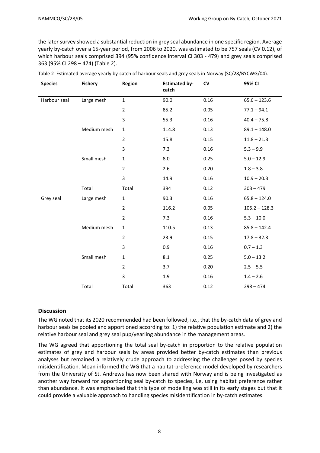the later survey showed a substantial reduction in grey seal abundance in one specific region. Average yearly by-catch over a 15-year period, from 2006 to 2020, was estimated to be 757 seals (CV 0.12), of which harbour seals comprised 394 (95% confidence interval CI 303 - 479) and grey seals comprised 363 (95% CI 298 – 474) [\(Table](#page-7-0) 2).

| <b>Species</b> | <b>Fishery</b> | <b>Region</b>  | <b>Estimated by-</b><br>catch | CV   | 95% CI          |
|----------------|----------------|----------------|-------------------------------|------|-----------------|
| Harbour seal   | Large mesh     | $\mathbf 1$    | 90.0                          | 0.16 | $65.6 - 123.6$  |
|                |                | $\overline{2}$ | 85.2                          | 0.05 | $77.1 - 94.1$   |
|                |                | 3              | 55.3                          | 0.16 | $40.4 - 75.8$   |
|                | Medium mesh    | $\mathbf{1}$   | 114.8                         | 0.13 | $89.1 - 148.0$  |
|                |                | $\overline{2}$ | 15.8                          | 0.15 | $11.8 - 21.3$   |
|                |                | 3              | 7.3                           | 0.16 | $5.3 - 9.9$     |
|                | Small mesh     | $\mathbf{1}$   | 8.0                           | 0.25 | $5.0 - 12.9$    |
|                |                | $\overline{2}$ | 2.6                           | 0.20 | $1.8 - 3.8$     |
|                |                | 3              | 14.9                          | 0.16 | $10.9 - 20.3$   |
|                | Total          | Total          | 394                           | 0.12 | $303 - 479$     |
| Grey seal      | Large mesh     | $\mathbf{1}$   | 90.3                          | 0.16 | $65.8 - 124.0$  |
|                |                | $\overline{2}$ | 116.2                         | 0.05 | $105.2 - 128.3$ |
|                |                | $\overline{2}$ | 7.3                           | 0.16 | $5.3 - 10.0$    |
|                | Medium mesh    | $\mathbf{1}$   | 110.5                         | 0.13 | $85.8 - 142.4$  |
|                |                | $\overline{2}$ | 23.9                          | 0.15 | $17.8 - 32.3$   |
|                |                | 3              | 0.9                           | 0.16 | $0.7 - 1.3$     |
|                | Small mesh     | 1              | 8.1                           | 0.25 | $5.0 - 13.2$    |
|                |                | $\overline{2}$ | 3.7                           | 0.20 | $2.5 - 5.5$     |
|                |                | 3              | 1.9                           | 0.16 | $1.4 - 2.6$     |
|                | Total          | Total          | 363                           | 0.12 | $298 - 474$     |

<span id="page-7-0"></span>

#### **Discussion**

The WG noted that its 2020 recommended had been followed, i.e., that the by-catch data of grey and harbour seals be pooled and apportioned according to: 1) the relative population estimate and 2) the relative harbour seal and grey seal pup/yearling abundance in the management areas.

The WG agreed that apportioning the total seal by-catch in proportion to the relative population estimates of grey and harbour seals by areas provided better by-catch estimates than previous analyses but remained a relatively crude approach to addressing the challenges posed by species misidentification. Moan informed the WG that a habitat-preference model developed by researchers from the University of St. Andrews has now been shared with Norway and is being investigated as another way forward for apportioning seal by-catch to species, i.e, using habitat preference rather than abundance. It was emphasised that this type of modelling was still in its early stages but that it could provide a valuable approach to handling species misidentification in by-catch estimates.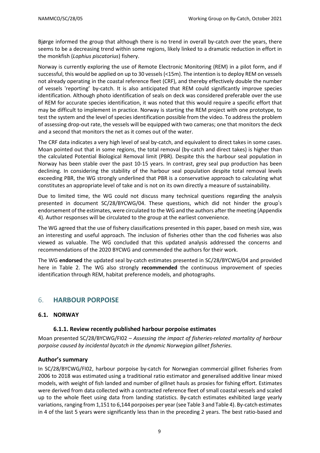Bjørge informed the group that although there is no trend in overall by-catch over the years, there seems to be a decreasing trend within some regions, likely linked to a dramatic reduction in effort in the monkfish (*Lophius piscatorius*) fishery.

Norway is currently exploring the use of Remote Electronic Monitoring (REM) in a pilot form, and if successful, this would be applied on up to 30 vessels (<15m). The intention is to deploy REM on vessels not already operating in the coastal reference fleet (CRF), and thereby effectively double the number of vessels 'reporting' by-catch. It is also anticipated that REM could significantly improve species identification. Although photo identification of seals on deck was considered preferable over the use of REM for accurate species identification, it was noted that this would require a specific effort that may be difficult to implement in practice. Norway is starting the REM project with one prototype, to test the system and the level of species identification possible from the video. To address the problem of assessing drop-out rate, the vessels will be equipped with two cameras; one that monitors the deck and a second that monitors the net as it comes out of the water.

The CRF data indicates a very high level of seal by-catch, and equivalent to direct takes in some cases. Moan pointed out that in some regions, the total removal (by-catch and direct takes) is higher than the calculated Potential Biological Removal limit (PBR). Despite this the harbour seal population in Norway has been stable over the past 10-15 years. In contrast, grey seal pup production has been declining. In considering the stability of the harbour seal population despite total removal levels exceeding PBR, the WG strongly underlined that PBR is a conservative approach to calculating what constitutes an appropriate level of take and is not on its own directly a measure of sustainability.

Due to limited time, the WG could not discuss many technical questions regarding the analysis presented in document SC/28/BYCWG/04. These questions, which did not hinder the group's endorsement of the estimates, were circulated to the WG and the authors afterthe meeting (Appendix 4). Author responses will be circulated to the group at the earliest convenience.

The WG agreed that the use of fishery classifications presented in this paper, based on mesh size, was an interesting and useful approach. The inclusion of fisheries other than the cod fisheries was also viewed as valuable. The WG concluded that this updated analysis addressed the concerns and recommendations of the 2020 BYCWG and commended the authors for their work.

The WG **endorsed** the updated seal by-catch estimates presented in SC/28/BYCWG/04 and provided here in Table 2. The WG also strongly **recommended** the continuous improvement of species identification through REM, habitat preference models, and photographs.

## <span id="page-8-0"></span>6. **HARBOUR PORPOISE**

#### <span id="page-8-1"></span>**6.1. NORWAY**

#### <span id="page-8-2"></span>**6.1.1. Review recently published harbour porpoise estimates**

Moan presented SC/28/BYCWG/FI02 – *Assessing the impact of fisheries-related mortality of harbour porpoise caused by incidental bycatch in the dynamic Norwegian gillnet fisheries.*

#### **Author's summary**

In SC/28/BYCWG/FI02, harbour porpoise by-catch for Norwegian commercial gillnet fisheries from 2006 to 2018 was estimated using a traditional ratio estimator and generalised additive linear mixed models, with weight of fish landed and number of gillnet hauls as proxies for fishing effort. Estimates were derived from data collected with a contracted reference fleet of small coastal vessels and scaled up to the whole fleet using data from landing statistics. By-catch estimates exhibited large yearly variations, ranging from 1,151 to 6,144 porpoises per year (see [Table](#page-9-1) 3 and Table 4). By-catch estimates in 4 of the last 5 years were significantly less than in the preceding 2 years. The best ratio-based and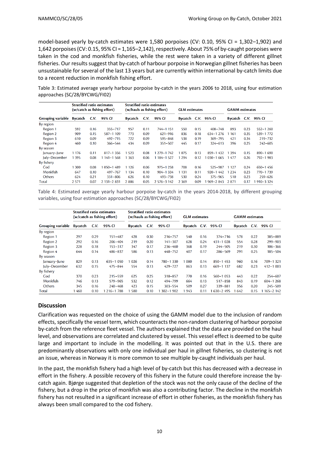model-based yearly by-catch estimates were 1,580 porpoises (CV: 0.10, 95% CI = 1,302–1,902) and 1,642 porpoises (CV: 0.15, 95% CI = 1,165-2,142), respectively. About 75% of by-caught porpoises were taken in the cod and monkfish fisheries, while the rest were taken in a variety of different gillnet fisheries. Our results suggest that by-catch of harbour porpoise in Norwegian gillnet fisheries has been unsustainable for several of the last 13 years but are currently within international by-catch limits due to a recent reduction in monkfish fishing effort.

<span id="page-9-0"></span>Table 3: Estimated average yearly harbour porpoise by-catch in the years 2006 to 2018, using four estimation approaches (SC/28/BYCWG/FI02)

|                   | <b>Stratified ratio estimates</b><br>(w/catch as fishing effort) |      | Stratified ratio estimates<br>(w/hauls as fishing effort) |         | <b>GLM</b> estimates |              |         | <b>GAMM</b> estimates |              |         |      |              |
|-------------------|------------------------------------------------------------------|------|-----------------------------------------------------------|---------|----------------------|--------------|---------|-----------------------|--------------|---------|------|--------------|
| Grouping variable | Bycatch                                                          | C.V. | 95% CI                                                    | Bycatch | C.V.                 | 95% CI       | Bycatch |                       | C.V. 95% CI  | Bycatch | C.V. | 95% CI       |
| By region         |                                                                  |      |                                                           |         |                      |              |         |                       |              |         |      |              |
| Region 1          | 592                                                              | 0.16 | $355 - 717$                                               | 957     | 0.11                 | 744-1151     | 550     | 0.15                  | $408 - 748$  | 893     | 0.23 | $552 - 1260$ |
| Region 2          | 909                                                              | 0.15 | 587-1 109                                                 | 773     | 0.09                 | $621 - 916$  | 836     | 0.18                  | $634 - 1276$ | 1 1 6 1 | 0.35 | 539-1772     |
| Region 3          | 610                                                              | 0.09 | $492 - 715$                                               | 722     | 0.09                 | $595 - 848$  | 538     | 0.19                  | $369 - 795$  | 421     | 0.34 | $219 - 732$  |
| Region 4          | 460                                                              | 0.10 | $366 - 544$                                               | 434     | 0.09                 | $351 - 507$  | 445     | 0.17                  | $324 - 613$  | 396     | 0.25 | $242 - 605$  |
| By season         |                                                                  |      |                                                           |         |                      |              |         |                       |              |         |      |              |
| January-June      | 1 1 7 6                                                          | 0.11 | $817 - 1356$                                              | 1 5 2 3 | 0.08                 | 1 279-1 742  | 1075    | 0.13                  | $859 - 1432$ | 1 3 9 4 | 0.15 | $890 - 1690$ |
| July-December     | 1 3 9 5                                                          | 0.08 | 1 141-1 568                                               | 1 3 6 3 | 0.06                 | 184-1527     | 1 2 9 4 | 0.12                  | $030 - 1665$ | 1477    | 0.26 | 792-1983     |
| By fishery        |                                                                  |      |                                                           |         |                      |              |         |                       |              |         |      |              |
| Cod               | 1 300                                                            | 0.08 | $050 - 1489$                                              | 1 1 2 6 | 0.06                 | $975 - 1258$ | 708     | 0.16                  | $525 - 987$  | 1 1 2 7 | 0.24 | $650 - 1456$ |
| Monkfish          | 647                                                              | 0.10 | $497 - 767$                                               | 1 1 3 4 | 0.10                 | $904 - 1334$ | 1 1 3 1 | 0.11                  | $920 - 1442$ | 1 2 3 4 | 0.23 | 770-1739     |
| Others            | 624                                                              | 0.21 | $331 - 806$                                               | 626     | 0.10                 | 493-738      | 530     | 0.24                  | $375 - 965$  | 510     | 0.23 | $259 - 626$  |
| Total             | 2 5 7 1                                                          | 0.07 | $2131 - 2831$                                             | 2886    | 0.05                 | 2 576-3 142  | 2 3 6 9 | 0.09                  | $969 - 2843$ | 2871    | 0.17 | 1910-3324    |

<span id="page-9-1"></span>Table 4: Estimated average yearly harbour porpoise by-catch in the years 2014-2018, by different grouping variables, using four estimation approaches (SC/28/BYCWG/FI02)

|                          | <b>Stratified ratio estimates</b><br>(w/catch as fishing effort) |      | <b>Stratified ratio estimates</b><br>(w/hauls as fishing effort) |         | <b>GLM</b> estimates |              |         | <b>GAMM</b> estimates |              |         |      |              |
|--------------------------|------------------------------------------------------------------|------|------------------------------------------------------------------|---------|----------------------|--------------|---------|-----------------------|--------------|---------|------|--------------|
| <b>Grouping variable</b> | <b>Bycatch</b>                                                   | C.V. | 95% CI                                                           | Bycatch | C.V.                 | 95% CI       | Bycatch |                       | C.V. 95% CI  | Bycatch | C.V. | 95% CI       |
| By region                |                                                                  |      |                                                                  |         |                      |              |         |                       |              |         |      |              |
| Region 1                 | 297                                                              | 0.29 | $151 - 487$                                                      | 428     | 0.30                 | $216 - 757$  | 540     | 0.16                  | $374 - 716$  | 578     | 0.22 | 385-889      |
| Region 2                 | 292                                                              | 0.16 | $206 - 404$                                                      | 219     | 0.20                 | $141 - 307$  | 628     | 0.24                  | $431 - 1028$ | 554     | 0.28 | $299 - 903$  |
| Region 3                 | 228                                                              | 0.18 | $153 - 317$                                                      | 347     | 0.17                 | $236 - 460$  | 368     | 0.19                  | $244 - 505$  | 219     | 0.30 | $106 - 366$  |
| Region 4                 | 644                                                              | 0.14 | $486 - 837$                                                      | 586     | 0.13                 | $448 - 752$  | 407     | 0.17                  | $286 - 569$  | 291     | 0.25 | 185-504      |
| By season                |                                                                  |      |                                                                  |         |                      |              |         |                       |              |         |      |              |
| January-June             | 829                                                              | 0.13 | $635 - 1050$                                                     | 1 0 2 6 | 0.14                 | 780-1330     | 1 080   | 0.14                  | $850 - 1453$ | 960     | 0.16 | 709-1321     |
| July-December            | 632                                                              | 0.15 | $475 - 844$                                                      | 554     | 0.13                 | 429-727      | 863     | 0.13                  | $669 - 1137$ | 682     | 0.23 | $412 - 1003$ |
| By fishery               |                                                                  |      |                                                                  |         |                      |              |         |                       |              |         |      |              |
| Cod                      | 370                                                              | 0.23 | $215 - 559$                                                      | 625     | 0.25                 | 318-857      | 770     | 0.16                  | $560 - 1053$ | 443     | 0.22 | $254 - 607$  |
| Monkfish                 | 746                                                              | 0.13 | 579-965                                                          | 532     | 0.12                 | 494-799      | 664     | 0.13                  | $517 - 858$  | 843     | 0.19 | $604 - 1268$ |
| Others                   | 345                                                              | 0.16 | $240 - 468$                                                      | 423     | 0.15                 | $303 - 554$  | 509     | 0.27                  | $339 - 881$  | 356     | 0.20 | $245 - 509$  |
| Total                    | 1460                                                             | 0.10 | $216 - 1788$                                                     | 580     | 0.10                 | $302 - 1902$ | 1943    | 0.11                  | $630 - 2495$ | 1642    | 0.15 | $165 - 2142$ |

#### **Discussion**

Clarification was requested on the choice of using the GAMM model due to the inclusion of random effects, specifically the vessel term, which counteracts the non-random clustering of harbour porpoise by-catch from the reference fleet vessel. The authors explained that the data are provided on the haul level, and observations are correlated and clustered by vessel. This vessel effect is deemed to be quite large and important to include in the modelling. It was pointed out that in the U.S. there are predominantly observations with only one individual per haul in gillnet fisheries, so clustering is not an issue, whereas in Norway it is more common to see multiple by-caught individuals per haul.

In the past, the monkfish fishery had a high level of by-catch but this has decreased with a decrease in effort in the fishery. A possible recovery of this fishery in the future could therefore increase the bycatch again. Bjørge suggested that depletion of the stock was not the only cause of the decline of the fishery, but a drop in the price of monkfish was also a contributing factor. The decline in the monkfish fishery has not resulted in a significant increase of effort in other fisheries, as the monkfish fishery has always been small compared to the cod fishery.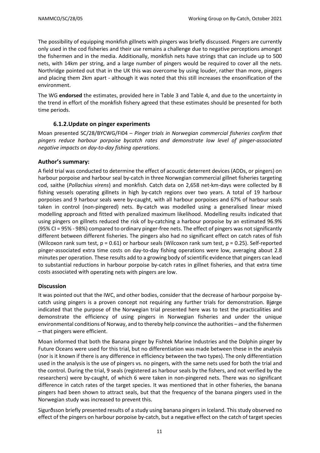The possibility of equipping monkfish gillnets with pingers was briefly discussed. Pingers are currently only used in the cod fisheries and their use remains a challenge due to negative perceptions amongst the fishermen and in the media. Additionally, monkfish nets have strings that can include up to 500 nets, with 14km per string, and a large number of pingers would be required to cover all the nets. Northridge pointed out that in the UK this was overcome by using louder, rather than more, pingers and placing them 2km apart - although it was noted that this still increases the ensonification of the environment.

The WG **endorsed** the estimates, provided here in [Table](#page-9-0) 3 and Table 4, and due to the uncertainty in the trend in effort of the monkfish fishery agreed that these estimates should be presented for both time periods.

## **6.1.2.Update on pinger experiments**

<span id="page-10-0"></span>Moan presented SC/28/BYCWG/FI04 – *Pinger trials in Norwegian commercial fisheries confirm that pingers reduce harbour porpoise bycatch rates and demonstrate low level of pinger-associated negative impacts on day-to-day fishing operations*.

#### **Author's summary:**

A field trial was conducted to determine the effect of acoustic deterrent devices (ADDs, or pingers) on harbour porpoise and harbour seal by-catch in three Norwegian commercial gillnet fisheries targeting cod, saithe (*Pollachius virens*) and monkfish. Catch data on 2,658 net-km-days were collected by 8 fishing vessels operating gillnets in high by-catch regions over two years. A total of 19 harbour porpoises and 9 harbour seals were by-caught, with all harbour porpoises and 67% of harbour seals taken in control (non-pingered) nets. By-catch was modelled using a generalised linear mixed modelling approach and fitted with penalized maximum likelihood. Modelling results indicated that using pingers on gillnets reduced the risk of by-catching a harbour porpoise by an estimated 96.9% (95% CI = 95% - 98%) compared to ordinary pinger-free nets. The effect of pingers was not significantly different between different fisheries. The pingers also had no significant effect on catch rates of fish (Wilcoxon rank sum test,  $p = 0.61$ ) or harbour seals (Wilcoxon rank sum test,  $p = 0.25$ ). Self-reported pinger-associated extra time costs on day-to-day fishing operations were low, averaging about 2.8 minutes per operation. These results add to a growing body of scientific evidence that pingers can lead to substantial reductions in harbour porpoise by-catch rates in gillnet fisheries, and that extra time costs associated with operating nets with pingers are low.

#### **Discussion**

It was pointed out that the IWC, and other bodies, consider that the decrease of harbour porpoise bycatch using pingers is a proven concept not requiring any further trials for demonstration. Bjørge indicated that the purpose of the Norwegian trial presented here was to test the practicalities and demonstrate the efficiency of using pingers in Norwegian fisheries and under the unique environmental conditions of Norway, and to thereby help convince the authorities – and the fishermen – that pingers were efficient.

Moan informed that both the Banana pinger by Fishtek Marine Industries and the Dolphin pinger by Future Oceans were used for this trial, but no differentiation was made between these in the analysis (nor is it known if there is any difference in efficiency between the two types). The only differentiation used in the analysis is the use of pingers vs. no pingers, with the same nets used for both the trial and the control. During the trial, 9 seals (registered as harbour seals by the fishers, and not verified by the researchers) were by-caught, of which 6 were taken in non-pingered nets. There was no significant difference in catch rates of the target species. It was mentioned that in other fisheries, the banana pingers had been shown to attract seals, but that the frequency of the banana pingers used in the Norwegian study was increased to prevent this.

Sigurðsson briefly presented results of a study using banana pingers in Iceland. This study observed no effect of the pingers on harbour porpoise by-catch, but a negative effect on the catch of target species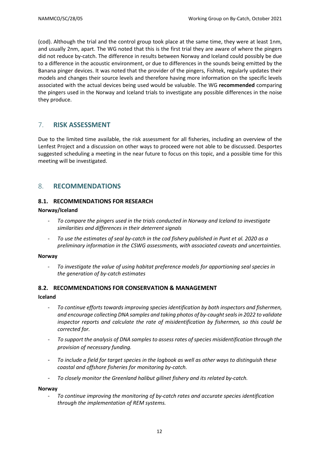(cod). Although the trial and the control group took place at the same time, they were at least 1nm, and usually 2nm, apart. The WG noted that this is the first trial they are aware of where the pingers did not reduce by-catch. The difference in results between Norway and Iceland could possibly be due to a difference in the acoustic environment, or due to differences in the sounds being emitted by the Banana pinger devices. It was noted that the provider of the pingers, Fishtek, regularly updates their models and changes their source levels and therefore having more information on the specific levels associated with the actual devices being used would be valuable. The WG **recommended** comparing the pingers used in the Norway and Iceland trials to investigate any possible differences in the noise they produce.

## <span id="page-11-0"></span>7. **RISK ASSESSMENT**

Due to the limited time available, the risk assessment for all fisheries, including an overview of the Lenfest Project and a discussion on other ways to proceed were not able to be discussed. Desportes suggested scheduling a meeting in the near future to focus on this topic, and a possible time for this meeting will be investigated.

## <span id="page-11-1"></span>8. **RECOMMENDATIONS**

#### <span id="page-11-2"></span>**8.1. RECOMMENDATIONS FOR RESEARCH**

#### **Norway/Iceland**

- *To compare the pingers used in the trials conducted in Norway and Iceland to investigate similarities and differences in their deterrent signals*
- To use the estimates of seal by-catch in the cod fishery published in Punt et al. 2020 as a *preliminary information in the CSWG assessments, with associated caveats and uncertainties.*

#### **Norway**

- *To investigate the value of using habitat preference models for apportioning seal species in the generation of by-catch estimates*

#### <span id="page-11-3"></span>**8.2. RECOMMENDATIONS FOR CONSERVATION & MANAGEMENT**

#### **Iceland**

- *To continue efforts towards improving species identification by both inspectors and fishermen, and encourage collecting DNA samples and taking photos of by-caughtsealsin 2022 to validate inspector reports and calculate the rate of misidentification by fishermen, so this could be corrected for.*
- *To support the analysis of DNA samples to assess rates of species misidentification through the provision of necessary funding.*
- *To include a field for target species in the logbook as well as other ways to distinguish these coastal and offshore fisheries for monitoring by-catch.*
- *To closely monitor the Greenland halibut gillnet fishery and its related by-catch.*

#### **Norway**

- *To continue improving the monitoring of by-catch rates and accurate species identification through the implementation of REM systems.*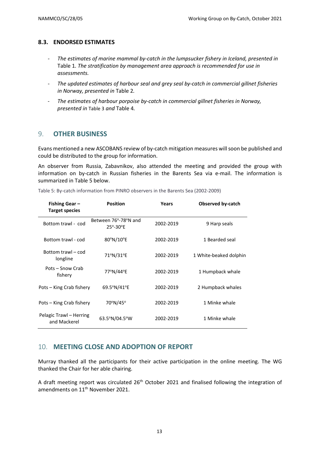#### <span id="page-12-0"></span>**8.3. ENDORSED ESTIMATES**

- *The estimates of marine mammal by-catch in the lumpsucker fishery in Iceland, presented in* [Table](#page-4-0) 1*. The stratification by management area approach is recommended for use in assessments.*
- *The updated estimates of harbour seal and grey seal by-catch in commercial gillnet fisheries in Norway, presented in* [Table](#page-7-0) 2*.*
- *The estimates of harbour porpoise by-catch in commercial gillnet fisheries in Norway, presented in* [Table](#page-9-0) 3 *and* [Table](#page-9-1) 4*.*

#### <span id="page-12-1"></span>9. **OTHER BUSINESS**

Evans mentioned a new ASCOBANS review of by-catch mitigation measures will soon be published and could be distributed to the group for information.

An observer from Russia, Zabavnikov, also attended the meeting and provided the group with information on by-catch in Russian fisheries in the Barents Sea via e-mail. The information is summarized in [Table](#page-12-3) 5 below.

| Fishing Gear-<br><b>Target species</b>  | <b>Position</b>                                     | Years     | <b>Observed by-catch</b> |
|-----------------------------------------|-----------------------------------------------------|-----------|--------------------------|
| Bottom trawl - cod                      | Between 76°-78°N and<br>$25^{\circ} - 30^{\circ}$ E | 2002-2019 | 9 Harp seals             |
| Bottom trawl - cod                      | 80°N/10°E                                           | 2002-2019 | 1 Bearded seal           |
| Bottom trawl – cod<br>longline          | 71°N/31°E                                           | 2002-2019 | 1 White-beaked dolphin   |
| Pots - Snow Crab<br>fishery             | 77°N/44°E                                           | 2002-2019 | 1 Humpback whale         |
| Pots – King Crab fishery                | 69.5°N/41°E                                         | 2002-2019 | 2 Humpback whales        |
| Pots – King Crab fishery                | 70°N/45°                                            | 2002-2019 | 1 Minke whale            |
| Pelagic Trawl - Herring<br>and Mackerel | $63.5^{\circ}N/04.5^{\circ}W$                       | 2002-2019 | 1 Minke whale            |

<span id="page-12-3"></span>Table 5: By-catch information from PINRO observers in the Barents Sea (2002-2009)

## <span id="page-12-2"></span>10. **MEETING CLOSE AND ADOPTION OF REPORT**

Murray thanked all the participants for their active participation in the online meeting. The WG thanked the Chair for her able chairing.

A draft meeting report was circulated 26<sup>th</sup> October 2021 and finalised following the integration of amendments on 11<sup>th</sup> November 2021.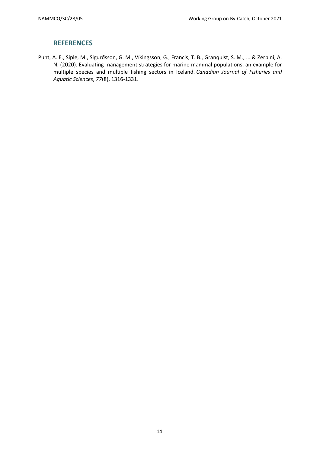## **REFERENCES**

<span id="page-13-0"></span>Punt, A. E., Siple, M., Sigurðsson, G. M., Víkingsson, G., Francis, T. B., Granquist, S. M., ... & Zerbini, A. N. (2020). Evaluating management strategies for marine mammal populations: an example for multiple species and multiple fishing sectors in Iceland. *Canadian Journal of Fisheries and Aquatic Sciences*, *77*(8), 1316-1331.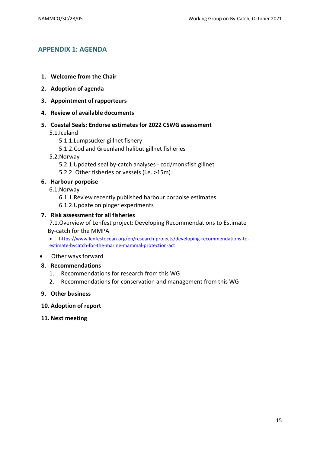## <span id="page-14-0"></span>**APPENDIX 1: AGENDA**

- **1. Welcome from the Chair**
- **2. Adoption of agenda**
- **3. Appointment of rapporteurs**
- **4. Review of available documents**
- **5. Coastal Seals: Endorse estimates for 2022 CSWG assessment**
	- 5.1.Iceland
		- 5.1.1.Lumpsucker gillnet fishery
		- 5.1.2.Cod and Greenland halibut gillnet fisheries
	- 5.2.Norway
		- 5.2.1.Updated seal by-catch analyses cod/monkfish gillnet
		- 5.2.2. Other fisheries or vessels (i.e. >15m)

## **6. Harbour porpoise**

- 6.1.Norway
	- 6.1.1.Review recently published harbour porpoise estimates
	- 6.1.2.Update on pinger experiments

## **7. Risk assessment for all fisheries**

7.1.Overview of Lenfest project: Developing Recommendations to Estimate By-catch for the MMPA

- [https://www.lenfestocean.org/en/research-projects/developing-recommendations-to](https://www.lenfestocean.org/en/research-projects/developing-recommendations-to-estimate-bycatch-for-the-marine-mammal-protection-act)[estimate-bycatch-for-the-marine-mammal-protection-act](https://www.lenfestocean.org/en/research-projects/developing-recommendations-to-estimate-bycatch-for-the-marine-mammal-protection-act)
- Other ways forward

#### **8. Recommendations**

- 1. Recommendations for research from this WG
- 2. Recommendations for conservation and management from this WG
- **9. Other business**

#### **10. Adoption of report**

**11. Next meeting**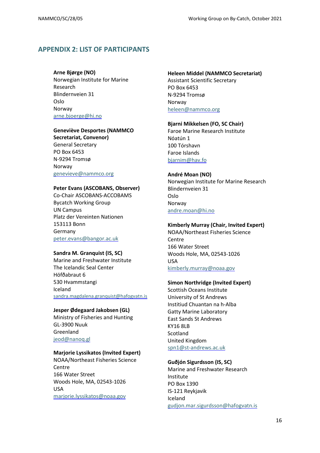## <span id="page-15-0"></span>**APPENDIX 2: LIST OF PARTICIPANTS**

#### **Arne Bjørge (NO)**

Norwegian Institute for Marine Research Blindernveien 31 Oslo Norway [arne.bjoerge@hi.no](mailto:arne.bjoerge@hi.no)

#### **Geneviève Desportes (NAMMCO**

**Secretariat, Convenor)** General Secretary PO Box 6453 N-9294 Tromsø Norway [genevieve@nammco.org](mailto:genevieve@nammco.org)

#### **Peter Evans (ASCOBANS, Observer)**

Co-Chair ASCOBANS-ACCOBAMS Bycatch Working Group UN Campus Platz der Vereinten Nationen 153113 Bonn Germany [peter.evans@bangor.ac.uk](mailto:peter.evans@bangor.ac.uk)

#### **Sandra M. Granquist (IS, SC)**

Marine and Freshwater Institute The Icelandic Seal Center Höfðabraut 6 530 Hvammstangi Iceland [sandra.magdalena.granquist@hafogvatn.is](mailto:sandra.magdalena.granquist@hafogvatn.is)

#### **Jesper Ødegaard Jakobsen (GL)**

Ministry of Fisheries and Hunting GL-3900 Nuuk Greenland [jeod@nanoq.gl](https://nammco.sharepoint.com/Sec/07-SC/04%2520Working%2520Groups/By-catch/2021/Report/jeod@nanoq.gl)

#### **Marjorie Lyssikatos (Invited Expert)**

NOAA/Northeast Fisheries Science **Centre** 166 Water Street Woods Hole, MA, 02543-1026 USA [marjorie.lyssikatos@noaa.gov](mailto:marjorie.lyssikatos@noaa.gov)

#### **Heleen Middel (NAMMCO Secretariat)**

Assistant Scientific Secretary PO Box 6453 N-9294 Tromsø Norway [heleen@nammco.org](mailto:heleen@nammco.org)

#### **Bjarni Mikkelsen (FO, SC Chair)**

Faroe Marine Research Institute Nóatún 1 100 Tórshavn Faroe Islands [bjarnim@hav.fo](mailto:bjarnim@savn.fo)

#### **André Moan (NO)**

Norwegian Institute for Marine Research Blindernveien 31 Oslo Norway [andre.moan@hi.no](mailto:andre.moan@hi.no)

#### **Kimberly Murray (Chair, Invited Expert)**

NOAA/Northeast Fisheries Science Centre 166 Water Street Woods Hole, MA, 02543-1026 USA [kimberly.murray@noaa.gov](mailto:kimberly.murray@noaa.gov)

#### **Simon Northridge (Invited Expert)**

Scottish Oceans Institute University of St Andrews Institiud Chuantan na h-Alba Gatty Marine Laboratory East Sands St Andrews KY16 8LB Scotland United Kingdom [spn1@st-andrews.ac.uk](mailto:spn1@st-andrews.ac.uk)

#### **Guðjón Sigurdsson (IS, SC)**

Marine and Freshwater Research Institute PO Box 1390 IS-121 Reykjavik Iceland [gudjon.mar.sigurdsson@hafogvatn.is](mailto:gudjon.mar.sigurdsson@hafogvatn.is)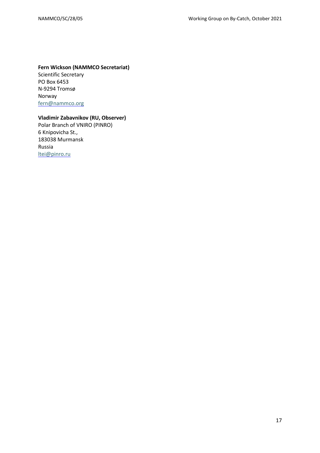## **Fern Wickson (NAMMCO Secretariat)**

Scientific Secretary PO Box 6453 N-9294 Tromsø Norway [fern@nammco.org](mailto:fern@nammco.org)

## **Vladimir Zabavnikov (RU, Observer)**

Polar Branch of VNIRO (PINRO) 6 Knipovicha St., 183038 Murmansk Russia [ltei@pinro.ru](mailto:ltei@pinro.ru)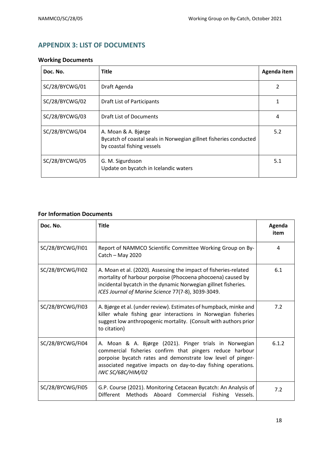## <span id="page-17-0"></span>**APPENDIX 3: LIST OF DOCUMENTS**

## **Working Documents**

| Doc. No.       | <b>Title</b>                                                                                                           | Agenda item |
|----------------|------------------------------------------------------------------------------------------------------------------------|-------------|
| SC/28/BYCWG/01 | Draft Agenda                                                                                                           |             |
| SC/28/BYCWG/02 | <b>Draft List of Participants</b>                                                                                      |             |
| SC/28/BYCWG/03 | <b>Draft List of Documents</b>                                                                                         | 4           |
| SC/28/BYCWG/04 | A. Moan & A. Bjørge<br>Bycatch of coastal seals in Norwegian gillnet fisheries conducted<br>by coastal fishing vessels | 5.2         |
| SC/28/BYCWG/05 | G. M. Sigurdsson<br>Update on bycatch in Icelandic waters                                                              | 5.1         |

## **For Information Documents**

| Doc. No.         | <b>Title</b>                                                                                                                                                                                                                                                                   | Agenda<br>item |
|------------------|--------------------------------------------------------------------------------------------------------------------------------------------------------------------------------------------------------------------------------------------------------------------------------|----------------|
| SC/28/BYCWG/FI01 | Report of NAMMCO Scientific Committee Working Group on By-<br>Catch $-$ May 2020                                                                                                                                                                                               | 4              |
| SC/28/BYCWG/FI02 | A. Moan et al. (2020). Assessing the impact of fisheries-related<br>mortality of harbour porpoise (Phocoena phocoena) caused by<br>incidental bycatch in the dynamic Norwegian gillnet fisheries.<br>ICES Journal of Marine Science 77(7-8), 3039-3049.                        | 6.1            |
| SC/28/BYCWG/FI03 | A. Bjørge et al. (under review). Estimates of humpback, minke and<br>killer whale fishing gear interactions in Norwegian fisheries<br>suggest low anthropogenic mortality. (Consult with authors prior<br>to citation)                                                         | 7.2            |
| SC/28/BYCWG/FI04 | A. Moan & A. Bjørge (2021). Pinger trials in Norwegian<br>commercial fisheries confirm that pingers reduce harbour<br>porpoise bycatch rates and demonstrate low level of pinger-<br>associated negative impacts on day-to-day fishing operations.<br><b>IWC SC/68C/HIM/02</b> | 6.1.2          |
| SC/28/BYCWG/FI05 | G.P. Course (2021). Monitoring Cetacean Bycatch: An Analysis of<br>Different Methods Aboard Commercial Fishing Vessels.                                                                                                                                                        | 7.2            |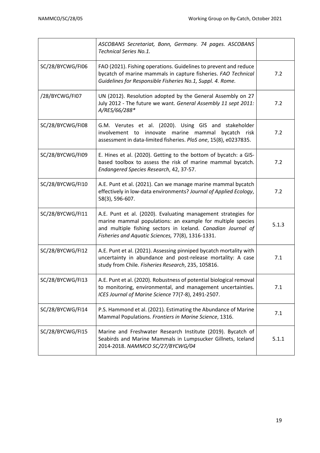|                  | ASCOBANS Secretariat, Bonn, Germany. 74 pages. ASCOBANS<br><b>Technical Series No.1.</b>                                                                                                                                                         |       |
|------------------|--------------------------------------------------------------------------------------------------------------------------------------------------------------------------------------------------------------------------------------------------|-------|
| SC/28/BYCWG/FI06 | FAO (2021). Fishing operations. Guidelines to prevent and reduce<br>bycatch of marine mammals in capture fisheries. FAO Technical<br>Guidelines for Responsible Fisheries No.1, Suppl. 4. Rome.                                                  | 7.2   |
| /28/BYCWG/FI07   | UN (2012). Resolution adopted by the General Assembly on 27<br>July 2012 - The future we want. General Assembly 11 sept 2011:<br>A/RES/66/288*                                                                                                   | 7.2   |
| SC/28/BYCWG/FI08 | G.M. Verutes et al. (2020). Using GIS and stakeholder<br>involvement to innovate marine mammal<br>bycatch risk<br>assessment in data-limited fisheries. PloS one, 15(8), e0237835.                                                               | 7.2   |
| SC/28/BYCWG/FI09 | E. Hines et al. (2020). Getting to the bottom of bycatch: a GIS-<br>based toolbox to assess the risk of marine mammal bycatch.<br>Endangered Species Research, 42, 37-57.                                                                        | 7.2   |
| SC/28/BYCWG/FI10 | A.E. Punt et al. (2021). Can we manage marine mammal bycatch<br>effectively in low-data environments? Journal of Applied Ecology,<br>58(3), 596-607.                                                                                             | 7.2   |
| SC/28/BYCWG/FI11 | A.E. Punt et al. (2020). Evaluating management strategies for<br>marine mammal populations: an example for multiple species<br>and multiple fishing sectors in Iceland. Canadian Journal of<br>Fisheries and Aquatic Sciences, 77(8), 1316-1331. | 5.1.3 |
| SC/28/BYCWG/FI12 | A.E. Punt et al. (2021). Assessing pinniped bycatch mortality with<br>uncertainty in abundance and post-release mortality: A case<br>study from Chile. Fisheries Research, 235, 105816.                                                          | 7.1   |
| SC/28/BYCWG/FI13 | A.E. Punt et al. (2020). Robustness of potential biological removal<br>to monitoring, environmental, and management uncertainties.<br>ICES Journal of Marine Science 77(7-8), 2491-2507.                                                         | 7.1   |
| SC/28/BYCWG/FI14 | P.S. Hammond et al. (2021). Estimating the Abundance of Marine<br>Mammal Populations. Frontiers in Marine Science, 1316.                                                                                                                         | 7.1   |
| SC/28/BYCWG/FI15 | Marine and Freshwater Research Institute (2019). Bycatch of<br>Seabirds and Marine Mammals in Lumpsucker Gillnets, Iceland<br>2014-2018. NAMMCO SC/27/BYCWG/04                                                                                   | 5.1.1 |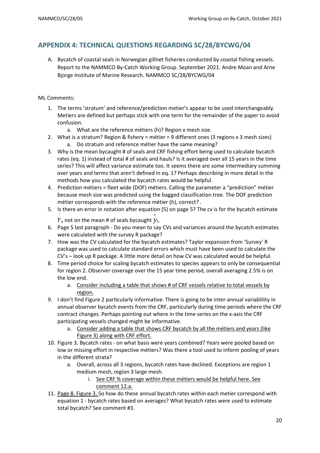## <span id="page-19-0"></span>**APPENDIX 4: TECHNICAL QUESTIONS REGARDING SC/28/BYCWG/04**

A. Bycatch of coastal seals in Norwegian gillnet fisheries conducted by coastal fishing vessels. Report to the NAMMCO By-Catch Working Group. September 2021. Andre Moan and Arne Bjorge Institute of Marine Research. NAMMCO SC/28/BYCWG/04

#### ML Comments:

- 1. The terms 'stratum' and reference/prediction metier's appear to be used interchangeably. Metiers are defined but perhaps stick with one term for the remainder of the paper to avoid confusion.
	- a. What are the reference métiers (h)? Region x mesh size.
- 2. What is a stratum? Region & fishery = métier = 9 different ones (3 regions x 3 mesh sizes) a. Do stratum and reference métier have the same meaning?
- 3. Why is the mean bycaught # of seals and CRF fishing effort being used to calculate bycatch rates (eq. 1) instead of total # of seals and hauls? Is it averaged over all 15 years in the time series? This will affect variance estimate too. It seems there are some intermediary summing over years and terms that aren't defined in eq. 1? Perhaps describing in more detail in the methods how you calculated the bycatch rates would be helpful.
- 4. Prediction métiers = fleet wide (DOF) métiers. Calling the parameter a "prediction" métier because mesh size was predicted using the bagged classification tree. The DOF prediction métier corresponds with the reference métier (h), correct? .
- 5. Is there an error in notation after equation (5) on page 5? The cv is for the bycatch estimate

Y  $Y_\mathsf{p}$  not on the mean # of seals bycaught  $\hat{\mathcal{Y}}_\mathsf{h}$ 

- 6. Page 5 last paragraph Do you mean to say CVs and variances around the bycatch estimates were calculated with the survey R package?
- 7. How was the CV calculated for the bycatch estimates? Taylor expansion from 'Survey' R package was used to calculate standard errors which must have been used to calculate the CV's – look up R package. A little more detail on how CV was calculated would be helpful.
- 8. Time period choice for scaling bycatch estimates to species appears to only be consequential for region 2. Observer coverage over the 15 year time period, overall averaging 2.5% is on the low end.
	- a. Consider including a table that shows # of CRF vessels relative to total vessels by region.
- 9. I don't find Figure 2 particularly informative. There is going to be inter-annual variablility in annual observer bycatch events from the CRF, particularly during time periods where the CRF contract changes. Perhaps pointing out where in the time series on the x-axis the CRF participating vessels changed might be informative.
	- a. Consider adding a table that shows CRF bycatch by all the métiers and years (like Figure 3) along with CRF effort.
- 10. Figure 3. Bycatch rates on what basis were years combined? Years were pooled based on low or missing effort in respective métiers? Was there a tool used to inform pooling of years in the different strata?
	- a. Overall, across all 3 regions, bycatch rates have declined. Exceptions are region 1 medium mesh, region 3 large mesh.
		- i. See CRF % coverage within these métiers would be helpful here. See comment 12.a.
- 11. Page 8. Figure 3. So how do these annual bycatch rates within each metier correspond with equation 1 - bycatch rates based on averages? What bycatch rates were used to estimate total bycatch? See comment #3.